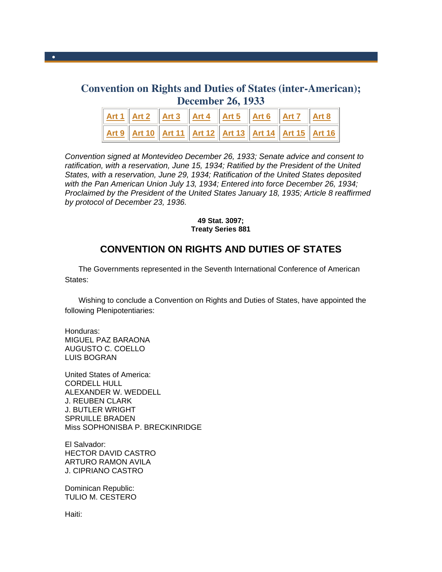# **Convention on Rights and Duties of States (inter-American); December 26, 1933**

|  |  |  | $\ \text{Art 1}\ $ Art 2 $\ \text{Art 3}\ $ Art 4 $\ \text{Art 5}\ $ Art 6 $\ \text{Art 7}\ $ Art 8 |  |
|--|--|--|-----------------------------------------------------------------------------------------------------|--|
|  |  |  | <u>  Art 9    Art 10    Art 11    Art 12    Art 13    Art 14    Art 15    Art 16   </u>             |  |

*Convention signed at Montevideo December 26, 1933; Senate advice and consent to ratification, with a reservation, June 15, 1934; Ratified by the President of the United States, with a reservation, June 29, 1934; Ratification of the United States deposited with the Pan American Union July 13, 1934; Entered into force December 26, 1934; Proclaimed by the President of the United States January 18, 1935; Article 8 reaffirmed by protocol of December 23, 1936.*

> **49 Stat. 3097; Treaty Series 881**

#### **CONVENTION ON RIGHTS AND DUTIES OF STATES**

The Governments represented in the Seventh International Conference of American States:

Wishing to conclude a Convention on Rights and Duties of States, have appointed the following Plenipotentiaries:

Honduras: MIGUEL PAZ BARAONA AUGUSTO C. COELLO LUIS BOGRAN

United States of America: CORDELL HULL ALEXANDER W. WEDDELL J. REUBEN CLARK J. BUTLER WRIGHT SPRUILLE BRADEN Miss SOPHONISBA P. BRECKINRIDGE

El Salvador: HECTOR DAVID CASTRO ARTURO RAMON AVILA J. CIPRIANO CASTRO

Dominican Republic: TULIO M. CESTERO

Haiti: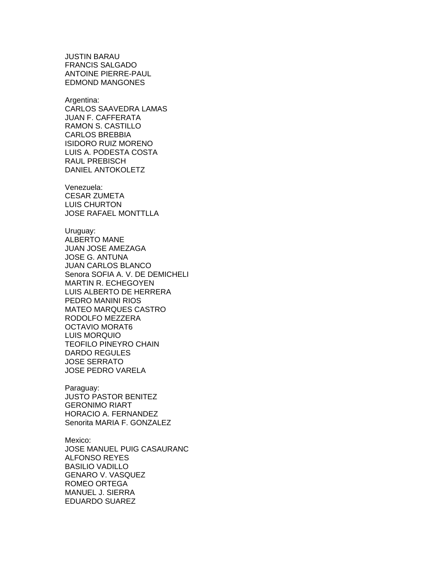JUSTIN BARAU FRANCIS SALGADO ANTOINE PIERRE-PAUL EDMOND MANGONES

Argentina: CARLOS SAAVEDRA LAMAS JUAN F. CAFFERATA RAMON S. CASTILLO CARLOS BREBBIA ISIDORO RUIZ MORENO LUIS A. PODESTA COSTA RAUL PREBISCH DANIEL ANTOKOLETZ

Venezuela: CESAR ZUMETA LUIS CHURTON JOSE RAFAEL MONTTLLA

Uruguay: ALBERTO MANE JUAN JOSE AMEZAGA JOSE G. ANTUNA JUAN CARLOS BLANCO Senora SOFIA A. V. DE DEMICHELI MARTIN R. ECHEGOYEN LUIS ALBERTO DE HERRERA PEDRO MANINI RIOS MATEO MARQUES CASTRO RODOLFO MEZZERA OCTAVIO MORAT6 LUIS MORQUIO TEOFILO PINEYRO CHAIN DARDO REGULES JOSE SERRATO JOSE PEDRO VARELA

Paraguay: JUSTO PASTOR BENITEZ GERONIMO RIART HORACIO A. FERNANDEZ Senorita MARIA F. GONZALEZ

Mexico: JOSE MANUEL PUIG CASAURANC ALFONSO REYES BASILIO VADILLO GENARO V. VASQUEZ ROMEO ORTEGA MANUEL J. SIERRA EDUARDO SUAREZ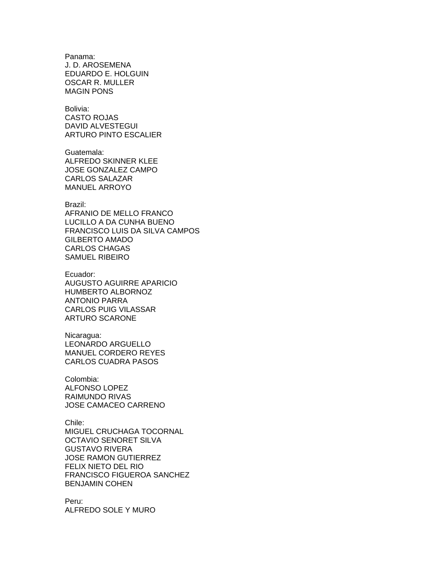Panama: J. D. AROSEMENA EDUARDO E. HOLGUIN OSCAR R. MULLER MAGIN PONS

Bolivia: CASTO ROJAS DAVID ALVESTEGUI ARTURO PINTO ESCALIER

Guatemala: ALFREDO SKINNER KLEE JOSE GONZALEZ CAMPO CARLOS SALAZAR MANUEL ARROYO

Brazil: AFRANIO DE MELLO FRANCO LUCILLO A DA CUNHA BUENO FRANCISCO LUIS DA SILVA CAMPOS GILBERTO AMADO CARLOS CHAGAS SAMUEL RIBEIRO

Ecuador: AUGUSTO AGUIRRE APARICIO HUMBERTO ALBORNOZ ANTONIO PARRA CARLOS PUIG VILASSAR ARTURO SCARONE

Nicaragua: LEONARDO ARGUELLO MANUEL CORDERO REYES CARLOS CUADRA PASOS

Colombia: ALFONSO LOPEZ RAIMUNDO RIVAS JOSE CAMACEO CARRENO

Chile: MIGUEL CRUCHAGA TOCORNAL OCTAVIO SENORET SILVA GUSTAVO RIVERA JOSE RAMON GUTIERREZ FELIX NIETO DEL RIO FRANCISCO FIGUEROA SANCHEZ BENJAMIN COHEN

Peru: ALFREDO SOLE Y MURO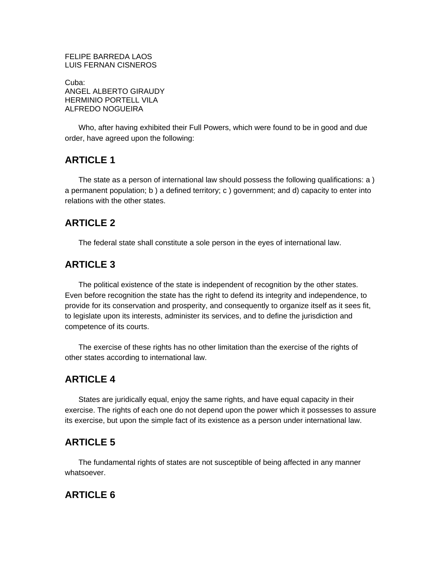FELIPE BARREDA LAOS LUIS FERNAN CISNEROS

Cuba: ANGEL ALBERTO GIRAUDY HERMINIO PORTELL VILA ALFREDO NOGUEIRA

Who, after having exhibited their Full Powers, which were found to be in good and due order, have agreed upon the following:

## **ARTICLE 1**

The state as a person of international law should possess the following qualifications: a ) a permanent population; b ) a defined territory; c ) government; and d) capacity to enter into relations with the other states.

#### **ARTICLE 2**

The federal state shall constitute a sole person in the eyes of international law.

#### **ARTICLE 3**

The political existence of the state is independent of recognition by the other states. Even before recognition the state has the right to defend its integrity and independence, to provide for its conservation and prosperity, and consequently to organize itself as it sees fit, to legislate upon its interests, administer its services, and to define the jurisdiction and competence of its courts.

The exercise of these rights has no other limitation than the exercise of the rights of other states according to international law.

#### **ARTICLE 4**

States are juridically equal, enjoy the same rights, and have equal capacity in their exercise. The rights of each one do not depend upon the power which it possesses to assure its exercise, but upon the simple fact of its existence as a person under international law.

## **ARTICLE 5**

The fundamental rights of states are not susceptible of being affected in any manner whatsoever.

## **ARTICLE 6**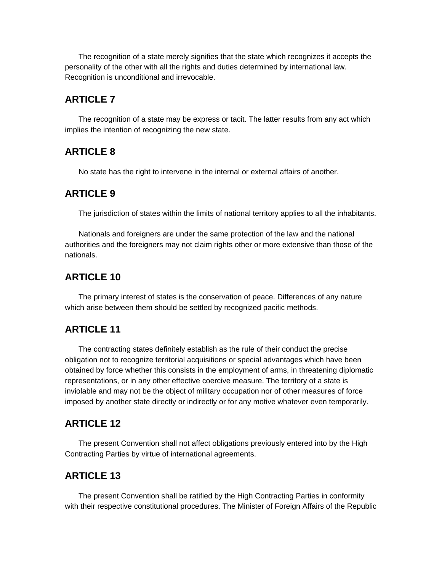The recognition of a state merely signifies that the state which recognizes it accepts the personality of the other with all the rights and duties determined by international law. Recognition is unconditional and irrevocable.

#### **ARTICLE 7**

The recognition of a state may be express or tacit. The latter results from any act which implies the intention of recognizing the new state.

#### **ARTICLE 8**

No state has the right to intervene in the internal or external affairs of another.

## **ARTICLE 9**

The jurisdiction of states within the limits of national territory applies to all the inhabitants.

Nationals and foreigners are under the same protection of the law and the national authorities and the foreigners may not claim rights other or more extensive than those of the nationals.

# **ARTICLE 10**

The primary interest of states is the conservation of peace. Differences of any nature which arise between them should be settled by recognized pacific methods.

# **ARTICLE 11**

The contracting states definitely establish as the rule of their conduct the precise obligation not to recognize territorial acquisitions or special advantages which have been obtained by force whether this consists in the employment of arms, in threatening diplomatic representations, or in any other effective coercive measure. The territory of a state is inviolable and may not be the object of military occupation nor of other measures of force imposed by another state directly or indirectly or for any motive whatever even temporarily.

## **ARTICLE 12**

The present Convention shall not affect obligations previously entered into by the High Contracting Parties by virtue of international agreements.

## **ARTICLE 13**

The present Convention shall be ratified by the High Contracting Parties in conformity with their respective constitutional procedures. The Minister of Foreign Affairs of the Republic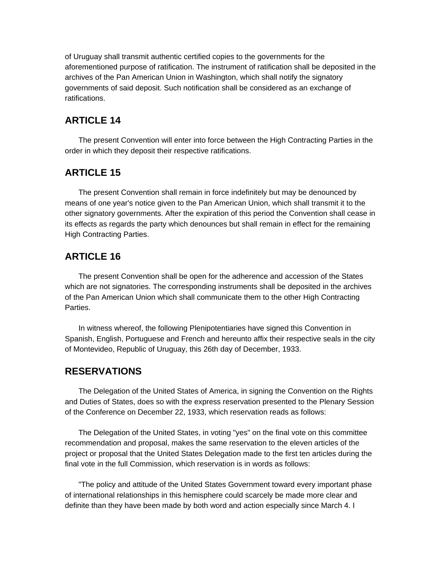of Uruguay shall transmit authentic certified copies to the governments for the aforementioned purpose of ratification. The instrument of ratification shall be deposited in the archives of the Pan American Union in Washington, which shall notify the signatory governments of said deposit. Such notification shall be considered as an exchange of ratifications.

# **ARTICLE 14**

The present Convention will enter into force between the High Contracting Parties in the order in which they deposit their respective ratifications.

## **ARTICLE 15**

The present Convention shall remain in force indefinitely but may be denounced by means of one year's notice given to the Pan American Union, which shall transmit it to the other signatory governments. After the expiration of this period the Convention shall cease in its effects as regards the party which denounces but shall remain in effect for the remaining High Contracting Parties.

# **ARTICLE 16**

The present Convention shall be open for the adherence and accession of the States which are not signatories. The corresponding instruments shall be deposited in the archives of the Pan American Union which shall communicate them to the other High Contracting Parties.

In witness whereof, the following Plenipotentiaries have signed this Convention in Spanish, English, Portuguese and French and hereunto affix their respective seals in the city of Montevideo, Republic of Uruguay, this 26th day of December, 1933.

## **RESERVATIONS**

The Delegation of the United States of America, in signing the Convention on the Rights and Duties of States, does so with the express reservation presented to the Plenary Session of the Conference on December 22, 1933, which reservation reads as follows:

The Delegation of the United States, in voting "yes" on the final vote on this committee recommendation and proposal, makes the same reservation to the eleven articles of the project or proposal that the United States Delegation made to the first ten articles during the final vote in the full Commission, which reservation is in words as follows:

"The policy and attitude of the United States Government toward every important phase of international relationships in this hemisphere could scarcely be made more clear and definite than they have been made by both word and action especially since March 4. I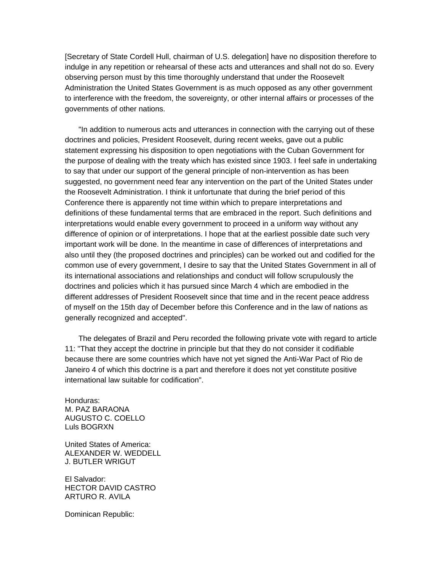[Secretary of State Cordell Hull, chairman of U.S. delegation] have no disposition therefore to indulge in any repetition or rehearsal of these acts and utterances and shall not do so. Every observing person must by this time thoroughly understand that under the Roosevelt Administration the United States Government is as much opposed as any other government to interference with the freedom, the sovereignty, or other internal affairs or processes of the governments of other nations.

"In addition to numerous acts and utterances in connection with the carrying out of these doctrines and policies, President Roosevelt, during recent weeks, gave out a public statement expressing his disposition to open negotiations with the Cuban Government for the purpose of dealing with the treaty which has existed since 1903. I feel safe in undertaking to say that under our support of the general principle of non-intervention as has been suggested, no government need fear any intervention on the part of the United States under the Roosevelt Administration. I think it unfortunate that during the brief period of this Conference there is apparently not time within which to prepare interpretations and definitions of these fundamental terms that are embraced in the report. Such definitions and interpretations would enable every government to proceed in a uniform way without any difference of opinion or of interpretations. I hope that at the earliest possible date such very important work will be done. In the meantime in case of differences of interpretations and also until they (the proposed doctrines and principles) can be worked out and codified for the common use of every government, I desire to say that the United States Government in all of its international associations and relationships and conduct will follow scrupulously the doctrines and policies which it has pursued since March 4 which are embodied in the different addresses of President Roosevelt since that time and in the recent peace address of myself on the 15th day of December before this Conference and in the law of nations as generally recognized and accepted".

The delegates of Brazil and Peru recorded the following private vote with regard to article 11: "That they accept the doctrine in principle but that they do not consider it codifiable because there are some countries which have not yet signed the Anti-War Pact of Rio de Janeiro 4 of which this doctrine is a part and therefore it does not yet constitute positive international law suitable for codification".

Honduras: M. PAZ BARAONA AUGUSTO C. COELLO Luls BOGRXN

United States of America: ALEXANDER W. WEDDELL J. BUTLER WRIGUT

El Salvador: HECTOR DAVID CASTRO ARTURO R. AVILA

Dominican Republic: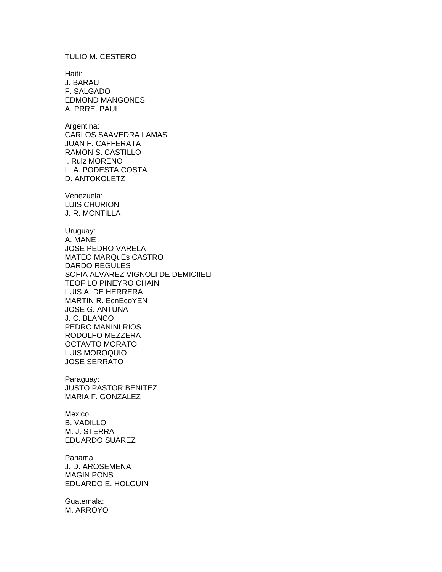#### TULIO M. CESTERO

Haiti: J. BARAU F. SALGADO EDMOND MANGONES A. PRRE. PAUL

Argentina: CARLOS SAAVEDRA LAMAS JUAN F. CAFFERATA RAMON S. CASTILLO I. Rulz MORENO L. A. PODESTA COSTA D. ANTOKOLETZ

Venezuela: LUIS CHURION J. R. MONTILLA

Uruguay: A. MANE JOSE PEDRO VARELA MATEO MARQuEs CASTRO DARDO REGULES SOFIA ALVAREZ VIGNOLI DE DEMICIIELI TEOFILO PINEYRO CHAIN LUIS A. DE HERRERA MARTIN R. EcnEcoYEN JOSE G. ANTUNA J. C. BLANCO PEDRO MANINI RIOS RODOLFO MEZZERA OCTAVTO MORATO LUIS MOROQUIO JOSE SERRATO

Paraguay: JUSTO PASTOR BENITEZ MARIA F. GONZALEZ

Mexico: B. VADILLO M. J. STERRA EDUARDO SUAREZ

Panama: J. D. AROSEMENA MAGIN PONS EDUARDO E. HOLGUIN

Guatemala: M. ARROYO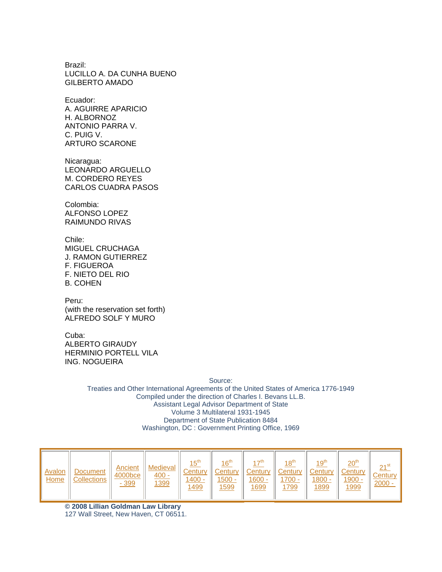Brazil: LUCILLO A. DA CUNHA BUENO GILBERTO AMADO

Ecuador: A. AGUIRRE APARICIO H. ALBORNOZ ANTONIO PARRA V. C. PUIG V. ARTURO SCARONE

Nicaragua: LEONARDO ARGUELLO M. CORDERO REYES CARLOS CUADRA PASOS

Colombia: ALFONSO LOPEZ RAIMUNDO RIVAS

Chile: MIGUEL CRUCHAGA J. RAMON GUTIERREZ F. FIGUEROA F. NIETO DEL RIO B. COHEN

Peru: (with the reservation set forth) ALFREDO SOLF Y MURO

Cuba: ALBERTO GIRAUDY HERMINIO PORTELL VILA ING. NOGUEIRA

> Source: Treaties and Other International Agreements of the United States of America 1776-1949 Compiled under the direction of Charles I. Bevans LL.B. Assistant Legal Advisor Department of State Volume 3 Multilateral 1931-1945 Department of State Publication 8484 Washington, DC : Government Printing Office, 1969

| Avalon<br>Home | <b>Document</b><br><b>Collections</b> | Ancient<br>4000bce<br>$-399$ | <b>Medieval</b><br><u>400 -</u><br><u>1399</u> | $15^{\text{th}}$<br>Century<br>$1400 -$<br>1499 | 16 <sup>th</sup><br>Centurv<br>$1500 -$<br>1599 | ⊿ <del>→</del> th<br>Century<br>$1600 -$<br>1699 | $18^{\sf th}$<br>Century<br>$1700 -$<br><u> 1799</u> | 19 <sup>th</sup><br>Century<br>$1800 -$<br>1899 | $20^{\sf th}$<br>Century<br><u> 1900 -</u><br>1999 | $21^{st}$<br>Century<br>$2000 -$ |
|----------------|---------------------------------------|------------------------------|------------------------------------------------|-------------------------------------------------|-------------------------------------------------|--------------------------------------------------|------------------------------------------------------|-------------------------------------------------|----------------------------------------------------|----------------------------------|
|----------------|---------------------------------------|------------------------------|------------------------------------------------|-------------------------------------------------|-------------------------------------------------|--------------------------------------------------|------------------------------------------------------|-------------------------------------------------|----------------------------------------------------|----------------------------------|

**© 2008 Lillian Goldman Law Library**  127 Wall Street, New Haven, CT 06511.